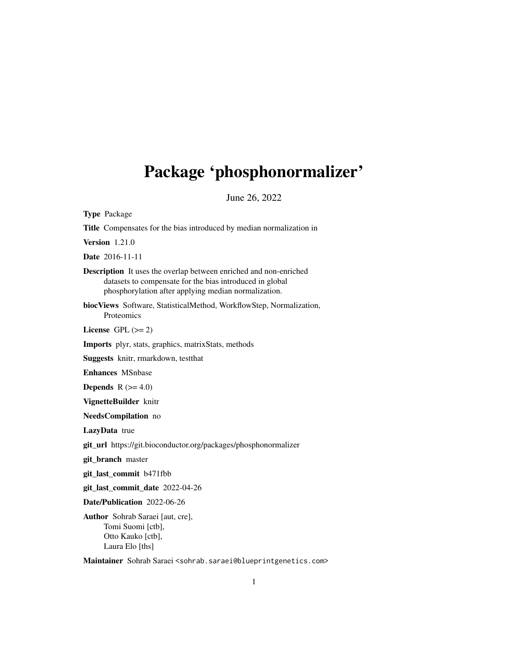## Package 'phosphonormalizer'

June 26, 2022

Type Package Title Compensates for the bias introduced by median normalization in Version 1.21.0 Date 2016-11-11 Description It uses the overlap between enriched and non-enriched datasets to compensate for the bias introduced in global phosphorylation after applying median normalization. biocViews Software, StatisticalMethod, WorkflowStep, Normalization, Proteomics License GPL  $(>= 2)$ Imports plyr, stats, graphics, matrixStats, methods Suggests knitr, rmarkdown, testthat Enhances MSnbase **Depends** R  $(>= 4.0)$ VignetteBuilder knitr NeedsCompilation no LazyData true git\_url https://git.bioconductor.org/packages/phosphonormalizer git\_branch master git\_last\_commit b471fbb git\_last\_commit\_date 2022-04-26 Date/Publication 2022-06-26 Author Sohrab Saraei [aut, cre], Tomi Suomi [ctb], Otto Kauko [ctb], Laura Elo [ths]

Maintainer Sohrab Saraei <sohrab.saraei@blueprintgenetics.com>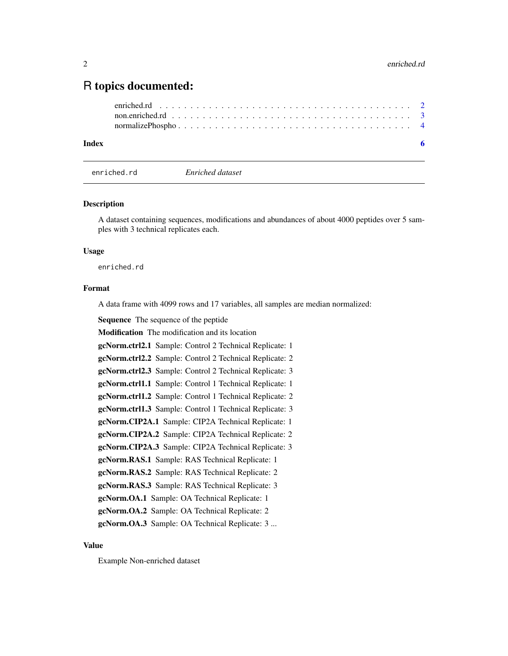### <span id="page-1-0"></span>R topics documented:

#### **Index** [6](#page-5-0) **6**

enriched.rd *Enriched dataset*

#### **Description**

A dataset containing sequences, modifications and abundances of about 4000 peptides over 5 samples with 3 technical replicates each.

#### Usage

enriched.rd

#### Format

A data frame with 4099 rows and 17 variables, all samples are median normalized:

Sequence The sequence of the peptide

Modification The modification and its location

gcNorm.ctrl2.1 Sample: Control 2 Technical Replicate: 1

gcNorm.ctrl2.2 Sample: Control 2 Technical Replicate: 2

gcNorm.ctrl2.3 Sample: Control 2 Technical Replicate: 3

gcNorm.ctrl1.1 Sample: Control 1 Technical Replicate: 1

gcNorm.ctrl1.2 Sample: Control 1 Technical Replicate: 2

gcNorm.ctrl1.3 Sample: Control 1 Technical Replicate: 3

gcNorm.CIP2A.1 Sample: CIP2A Technical Replicate: 1

gcNorm.CIP2A.2 Sample: CIP2A Technical Replicate: 2

gcNorm.CIP2A.3 Sample: CIP2A Technical Replicate: 3

gcNorm.RAS.1 Sample: RAS Technical Replicate: 1

gcNorm.RAS.2 Sample: RAS Technical Replicate: 2

gcNorm.RAS.3 Sample: RAS Technical Replicate: 3

gcNorm.OA.1 Sample: OA Technical Replicate: 1

gcNorm.OA.2 Sample: OA Technical Replicate: 2

gcNorm.OA.3 Sample: OA Technical Replicate: 3 ...

#### Value

Example Non-enriched dataset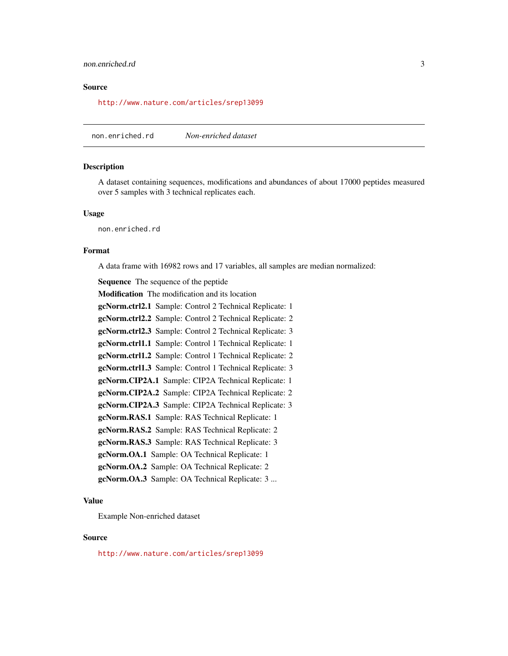#### <span id="page-2-0"></span>non.enriched.rd 3

#### Source

<http://www.nature.com/articles/srep13099>

non.enriched.rd *Non-enriched dataset*

#### Description

A dataset containing sequences, modifications and abundances of about 17000 peptides measured over 5 samples with 3 technical replicates each.

#### Usage

non.enriched.rd

#### Format

A data frame with 16982 rows and 17 variables, all samples are median normalized:

Sequence The sequence of the peptide Modification The modification and its location gcNorm.ctrl2.1 Sample: Control 2 Technical Replicate: 1 gcNorm.ctrl2.2 Sample: Control 2 Technical Replicate: 2 gcNorm.ctrl2.3 Sample: Control 2 Technical Replicate: 3 gcNorm.ctrl1.1 Sample: Control 1 Technical Replicate: 1 gcNorm.ctrl1.2 Sample: Control 1 Technical Replicate: 2 gcNorm.ctrl1.3 Sample: Control 1 Technical Replicate: 3 gcNorm.CIP2A.1 Sample: CIP2A Technical Replicate: 1 gcNorm.CIP2A.2 Sample: CIP2A Technical Replicate: 2 gcNorm.CIP2A.3 Sample: CIP2A Technical Replicate: 3 gcNorm.RAS.1 Sample: RAS Technical Replicate: 1 gcNorm.RAS.2 Sample: RAS Technical Replicate: 2 gcNorm.RAS.3 Sample: RAS Technical Replicate: 3 gcNorm.OA.1 Sample: OA Technical Replicate: 1 gcNorm.OA.2 Sample: OA Technical Replicate: 2 gcNorm.OA.3 Sample: OA Technical Replicate: 3 ...

#### Value

Example Non-enriched dataset

#### Source

<http://www.nature.com/articles/srep13099>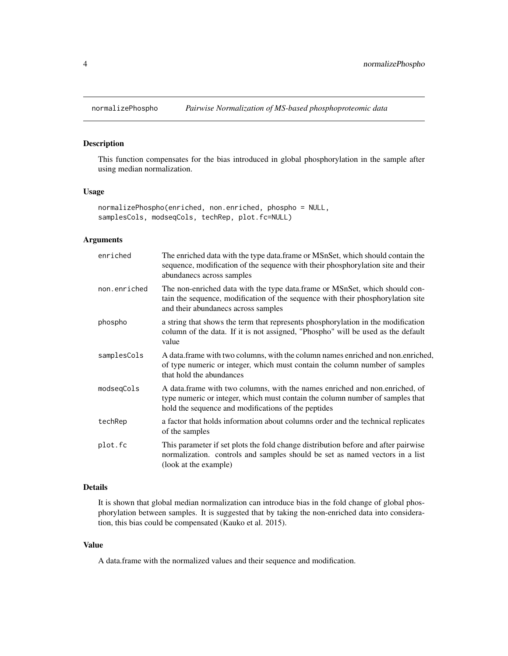<span id="page-3-0"></span>

#### Description

This function compensates for the bias introduced in global phosphorylation in the sample after using median normalization.

#### Usage

```
normalizePhospho(enriched, non.enriched, phospho = NULL,
samplesCols, modseqCols, techRep, plot.fc=NULL)
```
#### Arguments

| enriched     | The enriched data with the type data.frame or MSnSet, which should contain the<br>sequence, modification of the sequence with their phosphorylation site and their<br>abundanecs across samples                     |
|--------------|---------------------------------------------------------------------------------------------------------------------------------------------------------------------------------------------------------------------|
| non.enriched | The non-enriched data with the type data frame or MSnSet, which should con-<br>tain the sequence, modification of the sequence with their phosphorylation site<br>and their abundanecs across samples               |
| phospho      | a string that shows the term that represents phosphorylation in the modification<br>column of the data. If it is not assigned, "Phospho" will be used as the default<br>value                                       |
| samplesCols  | A data frame with two columns, with the column names enriched and non enriched,<br>of type numeric or integer, which must contain the column number of samples<br>that hold the abundances                          |
| modseqCols   | A data frame with two columns, with the names enriched and non.enriched, of<br>type numeric or integer, which must contain the column number of samples that<br>hold the sequence and modifications of the peptides |
| techRep      | a factor that holds information about columns order and the technical replicates<br>of the samples                                                                                                                  |
| plot.fc      | This parameter if set plots the fold change distribution before and after pairwise<br>normalization. controls and samples should be set as named vectors in a list<br>(look at the example)                         |

#### Details

It is shown that global median normalization can introduce bias in the fold change of global phosphorylation between samples. It is suggested that by taking the non-enriched data into consideration, this bias could be compensated (Kauko et al. 2015).

#### Value

A data.frame with the normalized values and their sequence and modification.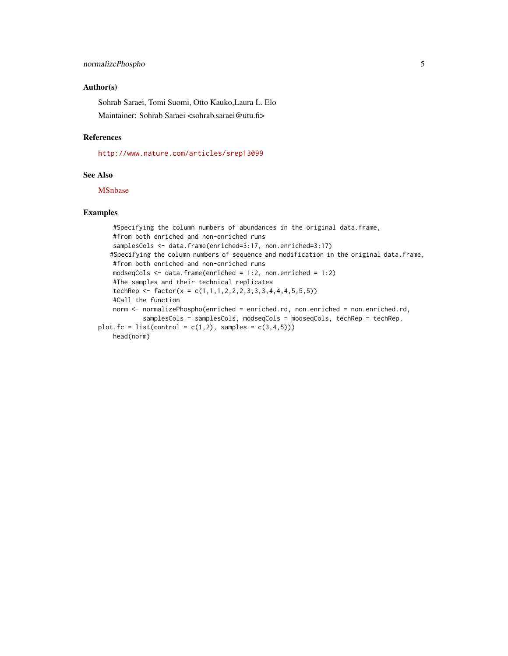#### Author(s)

Sohrab Saraei, Tomi Suomi, Otto Kauko,Laura L. Elo

Maintainer: Sohrab Saraei <sohrab.saraei@utu.fi>

#### References

<http://www.nature.com/articles/srep13099>

#### See Also

[MSnbase](https://bioconductor.org/packages/release/bioc/html/MSnbase.html)

#### Examples

```
#Specifying the column numbers of abundances in the original data.frame,
    #from both enriched and non-enriched runs
    samplesCols <- data.frame(enriched=3:17, non.enriched=3:17)
   #Specifying the column numbers of sequence and modification in the original data.frame,
   #from both enriched and non-enriched runs
   modseqCols <- data.frame(enriched = 1:2, non.enriched = 1:2)
   #The samples and their technical replicates
    techRep <- factor(x = c(1,1,1,1,2,2,2,3,3,3,4,4,4,5,5,5))#Call the function
   norm <- normalizePhospho(enriched = enriched.rd, non.enriched = non.enriched.rd,
            samplesCols = samplesCols, modseqCols = modseqCols, techRep = techRep,
plot.fc = list(control = c(1,2), samples = c(3,4,5)))
   head(norm)
```